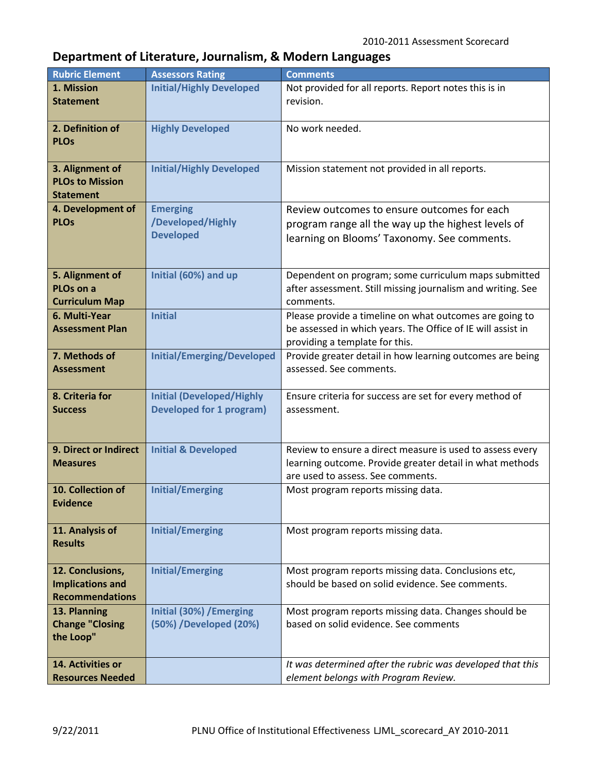## **Department of Literature, Journalism, & Modern Languages**

| <b>Initial/Highly Developed</b><br>1. Mission<br>Not provided for all reports. Report notes this is in<br>revision.<br><b>Statement</b><br>2. Definition of<br><b>Highly Developed</b><br>No work needed.<br><b>PLOs</b><br>3. Alignment of<br><b>Initial/Highly Developed</b><br>Mission statement not provided in all reports.<br><b>PLOs to Mission</b><br><b>Statement</b><br>4. Development of<br><b>Emerging</b><br>Review outcomes to ensure outcomes for each<br><b>PLOs</b><br>/Developed/Highly<br>program range all the way up the highest levels of<br><b>Developed</b><br>learning on Blooms' Taxonomy. See comments.<br>Initial (60%) and up<br>5. Alignment of<br>Dependent on program; some curriculum maps submitted<br>after assessment. Still missing journalism and writing. See<br>PLO <sub>s</sub> on a<br><b>Curriculum Map</b><br>comments.<br>Please provide a timeline on what outcomes are going to<br>6. Multi-Year<br><b>Initial</b><br><b>Assessment Plan</b><br>be assessed in which years. The Office of IE will assist in<br>providing a template for this.<br><b>Initial/Emerging/Developed</b><br>Provide greater detail in how learning outcomes are being<br>7. Methods of<br>assessed. See comments.<br><b>Assessment</b><br><b>Initial (Developed/Highly</b><br>8. Criteria for<br>Ensure criteria for success are set for every method of<br><b>Developed for 1 program)</b><br><b>Success</b><br>assessment.<br>9. Direct or Indirect<br><b>Initial &amp; Developed</b><br>Review to ensure a direct measure is used to assess every<br>learning outcome. Provide greater detail in what methods<br><b>Measures</b><br>are used to assess. See comments.<br><b>Initial/Emerging</b><br>10. Collection of<br>Most program reports missing data.<br>Evidence<br><b>Initial/Emerging</b><br>11. Analysis of<br>Most program reports missing data.<br><b>Results</b><br>12. Conclusions,<br><b>Initial/Emerging</b><br>Most program reports missing data. Conclusions etc,<br>should be based on solid evidence. See comments.<br><b>Implications and</b><br><b>Recommendations</b><br>13. Planning<br><b>Initial (30%) /Emerging</b><br>Most program reports missing data. Changes should be<br>based on solid evidence. See comments<br><b>Change "Closing</b><br>(50%) /Developed (20%)<br>the Loop" | <b>Rubric Element</b>   | <b>Assessors Rating</b> | <b>Comments</b>                                            |
|----------------------------------------------------------------------------------------------------------------------------------------------------------------------------------------------------------------------------------------------------------------------------------------------------------------------------------------------------------------------------------------------------------------------------------------------------------------------------------------------------------------------------------------------------------------------------------------------------------------------------------------------------------------------------------------------------------------------------------------------------------------------------------------------------------------------------------------------------------------------------------------------------------------------------------------------------------------------------------------------------------------------------------------------------------------------------------------------------------------------------------------------------------------------------------------------------------------------------------------------------------------------------------------------------------------------------------------------------------------------------------------------------------------------------------------------------------------------------------------------------------------------------------------------------------------------------------------------------------------------------------------------------------------------------------------------------------------------------------------------------------------------------------------------------------------------------------------------------------------------------------------------------------------------------------------------------------------------------------------------------------------------------------------------------------------------------------------------------------------------------------------------------------------------------------------------------------------------------------------------------------------------------------------------------------------------------------------------|-------------------------|-------------------------|------------------------------------------------------------|
|                                                                                                                                                                                                                                                                                                                                                                                                                                                                                                                                                                                                                                                                                                                                                                                                                                                                                                                                                                                                                                                                                                                                                                                                                                                                                                                                                                                                                                                                                                                                                                                                                                                                                                                                                                                                                                                                                                                                                                                                                                                                                                                                                                                                                                                                                                                                              |                         |                         |                                                            |
|                                                                                                                                                                                                                                                                                                                                                                                                                                                                                                                                                                                                                                                                                                                                                                                                                                                                                                                                                                                                                                                                                                                                                                                                                                                                                                                                                                                                                                                                                                                                                                                                                                                                                                                                                                                                                                                                                                                                                                                                                                                                                                                                                                                                                                                                                                                                              |                         |                         |                                                            |
|                                                                                                                                                                                                                                                                                                                                                                                                                                                                                                                                                                                                                                                                                                                                                                                                                                                                                                                                                                                                                                                                                                                                                                                                                                                                                                                                                                                                                                                                                                                                                                                                                                                                                                                                                                                                                                                                                                                                                                                                                                                                                                                                                                                                                                                                                                                                              |                         |                         |                                                            |
|                                                                                                                                                                                                                                                                                                                                                                                                                                                                                                                                                                                                                                                                                                                                                                                                                                                                                                                                                                                                                                                                                                                                                                                                                                                                                                                                                                                                                                                                                                                                                                                                                                                                                                                                                                                                                                                                                                                                                                                                                                                                                                                                                                                                                                                                                                                                              |                         |                         |                                                            |
|                                                                                                                                                                                                                                                                                                                                                                                                                                                                                                                                                                                                                                                                                                                                                                                                                                                                                                                                                                                                                                                                                                                                                                                                                                                                                                                                                                                                                                                                                                                                                                                                                                                                                                                                                                                                                                                                                                                                                                                                                                                                                                                                                                                                                                                                                                                                              |                         |                         |                                                            |
|                                                                                                                                                                                                                                                                                                                                                                                                                                                                                                                                                                                                                                                                                                                                                                                                                                                                                                                                                                                                                                                                                                                                                                                                                                                                                                                                                                                                                                                                                                                                                                                                                                                                                                                                                                                                                                                                                                                                                                                                                                                                                                                                                                                                                                                                                                                                              |                         |                         |                                                            |
|                                                                                                                                                                                                                                                                                                                                                                                                                                                                                                                                                                                                                                                                                                                                                                                                                                                                                                                                                                                                                                                                                                                                                                                                                                                                                                                                                                                                                                                                                                                                                                                                                                                                                                                                                                                                                                                                                                                                                                                                                                                                                                                                                                                                                                                                                                                                              |                         |                         |                                                            |
|                                                                                                                                                                                                                                                                                                                                                                                                                                                                                                                                                                                                                                                                                                                                                                                                                                                                                                                                                                                                                                                                                                                                                                                                                                                                                                                                                                                                                                                                                                                                                                                                                                                                                                                                                                                                                                                                                                                                                                                                                                                                                                                                                                                                                                                                                                                                              |                         |                         |                                                            |
|                                                                                                                                                                                                                                                                                                                                                                                                                                                                                                                                                                                                                                                                                                                                                                                                                                                                                                                                                                                                                                                                                                                                                                                                                                                                                                                                                                                                                                                                                                                                                                                                                                                                                                                                                                                                                                                                                                                                                                                                                                                                                                                                                                                                                                                                                                                                              |                         |                         |                                                            |
|                                                                                                                                                                                                                                                                                                                                                                                                                                                                                                                                                                                                                                                                                                                                                                                                                                                                                                                                                                                                                                                                                                                                                                                                                                                                                                                                                                                                                                                                                                                                                                                                                                                                                                                                                                                                                                                                                                                                                                                                                                                                                                                                                                                                                                                                                                                                              |                         |                         |                                                            |
|                                                                                                                                                                                                                                                                                                                                                                                                                                                                                                                                                                                                                                                                                                                                                                                                                                                                                                                                                                                                                                                                                                                                                                                                                                                                                                                                                                                                                                                                                                                                                                                                                                                                                                                                                                                                                                                                                                                                                                                                                                                                                                                                                                                                                                                                                                                                              |                         |                         |                                                            |
|                                                                                                                                                                                                                                                                                                                                                                                                                                                                                                                                                                                                                                                                                                                                                                                                                                                                                                                                                                                                                                                                                                                                                                                                                                                                                                                                                                                                                                                                                                                                                                                                                                                                                                                                                                                                                                                                                                                                                                                                                                                                                                                                                                                                                                                                                                                                              |                         |                         |                                                            |
|                                                                                                                                                                                                                                                                                                                                                                                                                                                                                                                                                                                                                                                                                                                                                                                                                                                                                                                                                                                                                                                                                                                                                                                                                                                                                                                                                                                                                                                                                                                                                                                                                                                                                                                                                                                                                                                                                                                                                                                                                                                                                                                                                                                                                                                                                                                                              |                         |                         |                                                            |
|                                                                                                                                                                                                                                                                                                                                                                                                                                                                                                                                                                                                                                                                                                                                                                                                                                                                                                                                                                                                                                                                                                                                                                                                                                                                                                                                                                                                                                                                                                                                                                                                                                                                                                                                                                                                                                                                                                                                                                                                                                                                                                                                                                                                                                                                                                                                              |                         |                         |                                                            |
|                                                                                                                                                                                                                                                                                                                                                                                                                                                                                                                                                                                                                                                                                                                                                                                                                                                                                                                                                                                                                                                                                                                                                                                                                                                                                                                                                                                                                                                                                                                                                                                                                                                                                                                                                                                                                                                                                                                                                                                                                                                                                                                                                                                                                                                                                                                                              |                         |                         |                                                            |
|                                                                                                                                                                                                                                                                                                                                                                                                                                                                                                                                                                                                                                                                                                                                                                                                                                                                                                                                                                                                                                                                                                                                                                                                                                                                                                                                                                                                                                                                                                                                                                                                                                                                                                                                                                                                                                                                                                                                                                                                                                                                                                                                                                                                                                                                                                                                              |                         |                         |                                                            |
|                                                                                                                                                                                                                                                                                                                                                                                                                                                                                                                                                                                                                                                                                                                                                                                                                                                                                                                                                                                                                                                                                                                                                                                                                                                                                                                                                                                                                                                                                                                                                                                                                                                                                                                                                                                                                                                                                                                                                                                                                                                                                                                                                                                                                                                                                                                                              |                         |                         |                                                            |
|                                                                                                                                                                                                                                                                                                                                                                                                                                                                                                                                                                                                                                                                                                                                                                                                                                                                                                                                                                                                                                                                                                                                                                                                                                                                                                                                                                                                                                                                                                                                                                                                                                                                                                                                                                                                                                                                                                                                                                                                                                                                                                                                                                                                                                                                                                                                              |                         |                         |                                                            |
|                                                                                                                                                                                                                                                                                                                                                                                                                                                                                                                                                                                                                                                                                                                                                                                                                                                                                                                                                                                                                                                                                                                                                                                                                                                                                                                                                                                                                                                                                                                                                                                                                                                                                                                                                                                                                                                                                                                                                                                                                                                                                                                                                                                                                                                                                                                                              |                         |                         |                                                            |
|                                                                                                                                                                                                                                                                                                                                                                                                                                                                                                                                                                                                                                                                                                                                                                                                                                                                                                                                                                                                                                                                                                                                                                                                                                                                                                                                                                                                                                                                                                                                                                                                                                                                                                                                                                                                                                                                                                                                                                                                                                                                                                                                                                                                                                                                                                                                              |                         |                         |                                                            |
|                                                                                                                                                                                                                                                                                                                                                                                                                                                                                                                                                                                                                                                                                                                                                                                                                                                                                                                                                                                                                                                                                                                                                                                                                                                                                                                                                                                                                                                                                                                                                                                                                                                                                                                                                                                                                                                                                                                                                                                                                                                                                                                                                                                                                                                                                                                                              |                         |                         |                                                            |
|                                                                                                                                                                                                                                                                                                                                                                                                                                                                                                                                                                                                                                                                                                                                                                                                                                                                                                                                                                                                                                                                                                                                                                                                                                                                                                                                                                                                                                                                                                                                                                                                                                                                                                                                                                                                                                                                                                                                                                                                                                                                                                                                                                                                                                                                                                                                              |                         |                         |                                                            |
|                                                                                                                                                                                                                                                                                                                                                                                                                                                                                                                                                                                                                                                                                                                                                                                                                                                                                                                                                                                                                                                                                                                                                                                                                                                                                                                                                                                                                                                                                                                                                                                                                                                                                                                                                                                                                                                                                                                                                                                                                                                                                                                                                                                                                                                                                                                                              |                         |                         |                                                            |
|                                                                                                                                                                                                                                                                                                                                                                                                                                                                                                                                                                                                                                                                                                                                                                                                                                                                                                                                                                                                                                                                                                                                                                                                                                                                                                                                                                                                                                                                                                                                                                                                                                                                                                                                                                                                                                                                                                                                                                                                                                                                                                                                                                                                                                                                                                                                              |                         |                         |                                                            |
|                                                                                                                                                                                                                                                                                                                                                                                                                                                                                                                                                                                                                                                                                                                                                                                                                                                                                                                                                                                                                                                                                                                                                                                                                                                                                                                                                                                                                                                                                                                                                                                                                                                                                                                                                                                                                                                                                                                                                                                                                                                                                                                                                                                                                                                                                                                                              |                         |                         |                                                            |
|                                                                                                                                                                                                                                                                                                                                                                                                                                                                                                                                                                                                                                                                                                                                                                                                                                                                                                                                                                                                                                                                                                                                                                                                                                                                                                                                                                                                                                                                                                                                                                                                                                                                                                                                                                                                                                                                                                                                                                                                                                                                                                                                                                                                                                                                                                                                              |                         |                         |                                                            |
|                                                                                                                                                                                                                                                                                                                                                                                                                                                                                                                                                                                                                                                                                                                                                                                                                                                                                                                                                                                                                                                                                                                                                                                                                                                                                                                                                                                                                                                                                                                                                                                                                                                                                                                                                                                                                                                                                                                                                                                                                                                                                                                                                                                                                                                                                                                                              |                         |                         |                                                            |
|                                                                                                                                                                                                                                                                                                                                                                                                                                                                                                                                                                                                                                                                                                                                                                                                                                                                                                                                                                                                                                                                                                                                                                                                                                                                                                                                                                                                                                                                                                                                                                                                                                                                                                                                                                                                                                                                                                                                                                                                                                                                                                                                                                                                                                                                                                                                              |                         |                         |                                                            |
|                                                                                                                                                                                                                                                                                                                                                                                                                                                                                                                                                                                                                                                                                                                                                                                                                                                                                                                                                                                                                                                                                                                                                                                                                                                                                                                                                                                                                                                                                                                                                                                                                                                                                                                                                                                                                                                                                                                                                                                                                                                                                                                                                                                                                                                                                                                                              |                         |                         |                                                            |
|                                                                                                                                                                                                                                                                                                                                                                                                                                                                                                                                                                                                                                                                                                                                                                                                                                                                                                                                                                                                                                                                                                                                                                                                                                                                                                                                                                                                                                                                                                                                                                                                                                                                                                                                                                                                                                                                                                                                                                                                                                                                                                                                                                                                                                                                                                                                              |                         |                         |                                                            |
|                                                                                                                                                                                                                                                                                                                                                                                                                                                                                                                                                                                                                                                                                                                                                                                                                                                                                                                                                                                                                                                                                                                                                                                                                                                                                                                                                                                                                                                                                                                                                                                                                                                                                                                                                                                                                                                                                                                                                                                                                                                                                                                                                                                                                                                                                                                                              |                         |                         |                                                            |
|                                                                                                                                                                                                                                                                                                                                                                                                                                                                                                                                                                                                                                                                                                                                                                                                                                                                                                                                                                                                                                                                                                                                                                                                                                                                                                                                                                                                                                                                                                                                                                                                                                                                                                                                                                                                                                                                                                                                                                                                                                                                                                                                                                                                                                                                                                                                              |                         |                         |                                                            |
|                                                                                                                                                                                                                                                                                                                                                                                                                                                                                                                                                                                                                                                                                                                                                                                                                                                                                                                                                                                                                                                                                                                                                                                                                                                                                                                                                                                                                                                                                                                                                                                                                                                                                                                                                                                                                                                                                                                                                                                                                                                                                                                                                                                                                                                                                                                                              |                         |                         |                                                            |
|                                                                                                                                                                                                                                                                                                                                                                                                                                                                                                                                                                                                                                                                                                                                                                                                                                                                                                                                                                                                                                                                                                                                                                                                                                                                                                                                                                                                                                                                                                                                                                                                                                                                                                                                                                                                                                                                                                                                                                                                                                                                                                                                                                                                                                                                                                                                              |                         |                         |                                                            |
|                                                                                                                                                                                                                                                                                                                                                                                                                                                                                                                                                                                                                                                                                                                                                                                                                                                                                                                                                                                                                                                                                                                                                                                                                                                                                                                                                                                                                                                                                                                                                                                                                                                                                                                                                                                                                                                                                                                                                                                                                                                                                                                                                                                                                                                                                                                                              |                         |                         |                                                            |
|                                                                                                                                                                                                                                                                                                                                                                                                                                                                                                                                                                                                                                                                                                                                                                                                                                                                                                                                                                                                                                                                                                                                                                                                                                                                                                                                                                                                                                                                                                                                                                                                                                                                                                                                                                                                                                                                                                                                                                                                                                                                                                                                                                                                                                                                                                                                              |                         |                         |                                                            |
|                                                                                                                                                                                                                                                                                                                                                                                                                                                                                                                                                                                                                                                                                                                                                                                                                                                                                                                                                                                                                                                                                                                                                                                                                                                                                                                                                                                                                                                                                                                                                                                                                                                                                                                                                                                                                                                                                                                                                                                                                                                                                                                                                                                                                                                                                                                                              |                         |                         |                                                            |
|                                                                                                                                                                                                                                                                                                                                                                                                                                                                                                                                                                                                                                                                                                                                                                                                                                                                                                                                                                                                                                                                                                                                                                                                                                                                                                                                                                                                                                                                                                                                                                                                                                                                                                                                                                                                                                                                                                                                                                                                                                                                                                                                                                                                                                                                                                                                              |                         |                         |                                                            |
|                                                                                                                                                                                                                                                                                                                                                                                                                                                                                                                                                                                                                                                                                                                                                                                                                                                                                                                                                                                                                                                                                                                                                                                                                                                                                                                                                                                                                                                                                                                                                                                                                                                                                                                                                                                                                                                                                                                                                                                                                                                                                                                                                                                                                                                                                                                                              |                         |                         |                                                            |
|                                                                                                                                                                                                                                                                                                                                                                                                                                                                                                                                                                                                                                                                                                                                                                                                                                                                                                                                                                                                                                                                                                                                                                                                                                                                                                                                                                                                                                                                                                                                                                                                                                                                                                                                                                                                                                                                                                                                                                                                                                                                                                                                                                                                                                                                                                                                              |                         |                         |                                                            |
|                                                                                                                                                                                                                                                                                                                                                                                                                                                                                                                                                                                                                                                                                                                                                                                                                                                                                                                                                                                                                                                                                                                                                                                                                                                                                                                                                                                                                                                                                                                                                                                                                                                                                                                                                                                                                                                                                                                                                                                                                                                                                                                                                                                                                                                                                                                                              |                         |                         |                                                            |
|                                                                                                                                                                                                                                                                                                                                                                                                                                                                                                                                                                                                                                                                                                                                                                                                                                                                                                                                                                                                                                                                                                                                                                                                                                                                                                                                                                                                                                                                                                                                                                                                                                                                                                                                                                                                                                                                                                                                                                                                                                                                                                                                                                                                                                                                                                                                              |                         |                         |                                                            |
|                                                                                                                                                                                                                                                                                                                                                                                                                                                                                                                                                                                                                                                                                                                                                                                                                                                                                                                                                                                                                                                                                                                                                                                                                                                                                                                                                                                                                                                                                                                                                                                                                                                                                                                                                                                                                                                                                                                                                                                                                                                                                                                                                                                                                                                                                                                                              |                         |                         |                                                            |
|                                                                                                                                                                                                                                                                                                                                                                                                                                                                                                                                                                                                                                                                                                                                                                                                                                                                                                                                                                                                                                                                                                                                                                                                                                                                                                                                                                                                                                                                                                                                                                                                                                                                                                                                                                                                                                                                                                                                                                                                                                                                                                                                                                                                                                                                                                                                              |                         |                         |                                                            |
|                                                                                                                                                                                                                                                                                                                                                                                                                                                                                                                                                                                                                                                                                                                                                                                                                                                                                                                                                                                                                                                                                                                                                                                                                                                                                                                                                                                                                                                                                                                                                                                                                                                                                                                                                                                                                                                                                                                                                                                                                                                                                                                                                                                                                                                                                                                                              |                         |                         |                                                            |
|                                                                                                                                                                                                                                                                                                                                                                                                                                                                                                                                                                                                                                                                                                                                                                                                                                                                                                                                                                                                                                                                                                                                                                                                                                                                                                                                                                                                                                                                                                                                                                                                                                                                                                                                                                                                                                                                                                                                                                                                                                                                                                                                                                                                                                                                                                                                              | 14. Activities or       |                         | It was determined after the rubric was developed that this |
|                                                                                                                                                                                                                                                                                                                                                                                                                                                                                                                                                                                                                                                                                                                                                                                                                                                                                                                                                                                                                                                                                                                                                                                                                                                                                                                                                                                                                                                                                                                                                                                                                                                                                                                                                                                                                                                                                                                                                                                                                                                                                                                                                                                                                                                                                                                                              | <b>Resources Needed</b> |                         | element belongs with Program Review.                       |
|                                                                                                                                                                                                                                                                                                                                                                                                                                                                                                                                                                                                                                                                                                                                                                                                                                                                                                                                                                                                                                                                                                                                                                                                                                                                                                                                                                                                                                                                                                                                                                                                                                                                                                                                                                                                                                                                                                                                                                                                                                                                                                                                                                                                                                                                                                                                              |                         |                         |                                                            |